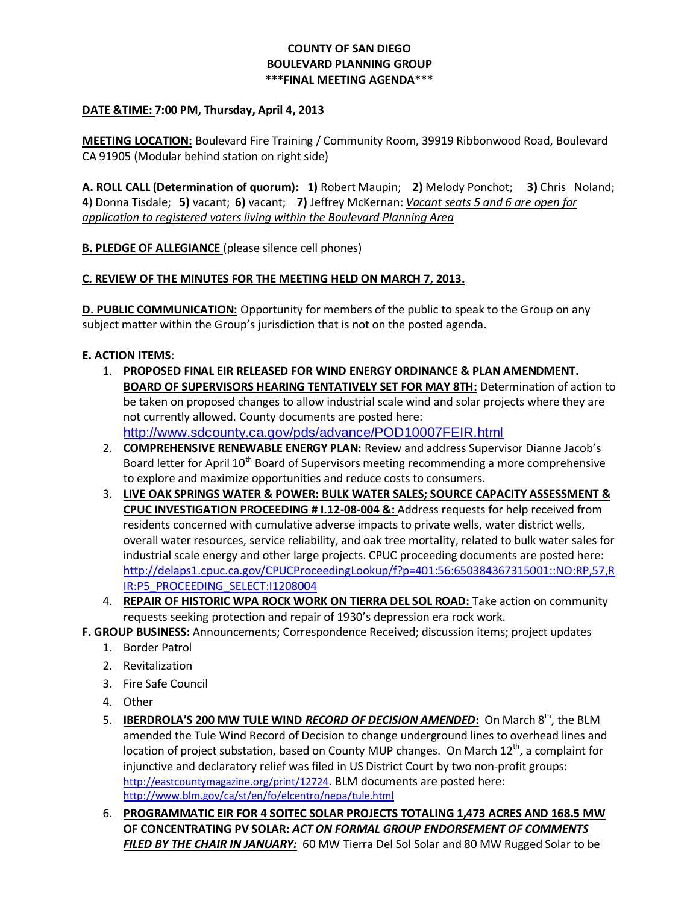## **COUNTY OF SAN DIEGO BOULEVARD PLANNING GROUP \*\*\*FINAL MEETING AGENDA\*\*\***

### **DATE &TIME: 7:00 PM, Thursday, April 4, 2013**

**MEETING LOCATION:** Boulevard Fire Training / Community Room, 39919 Ribbonwood Road, Boulevard CA 91905 (Modular behind station on right side)

**A. ROLL CALL (Determination of quorum): 1)** Robert Maupin; **2)** Melody Ponchot; **3)** Chris Noland; **4**) Donna Tisdale; **5)** vacant; **6)** vacant; **7)** Jeffrey McKernan: *Vacant seats 5 and 6 are open for application to registered voters living within the Boulevard Planning Area* 

**B. PLEDGE OF ALLEGIANCE** (please silence cell phones)

### **C. REVIEW OF THE MINUTES FOR THE MEETING HELD ON MARCH 7, 2013.**

**D. PUBLIC COMMUNICATION:** Opportunity for members of the public to speak to the Group on any subject matter within the Group's jurisdiction that is not on the posted agenda.

### **E. ACTION ITEMS**:

- 1. **PROPOSED FINAL EIR RELEASED FOR WIND ENERGY ORDINANCE & PLAN AMENDMENT. BOARD OF SUPERVISORS HEARING TENTATIVELY SET FOR MAY 8TH:** Determination of action to be taken on proposed changes to allow industrial scale wind and solar projects where they are not currently allowed. County documents are posted here: <http://www.sdcounty.ca.gov/pds/advance/POD10007FEIR.html>
- 2. **COMPREHENSIVE RENEWABLE ENERGY PLAN:** Review and address Supervisor Dianne Jacob's Board letter for April 10<sup>th</sup> Board of Supervisors meeting recommending a more comprehensive to explore and maximize opportunities and reduce costs to consumers.
- 3. **LIVE OAK SPRINGS WATER & POWER: BULK WATER SALES; SOURCE CAPACITY ASSESSMENT & CPUC INVESTIGATION PROCEEDING # I.12-08-004 &:** Address requests for help received from residents concerned with cumulative adverse impacts to private wells, water district wells, overall water resources, service reliability, and oak tree mortality, related to bulk water sales for industrial scale energy and other large projects. CPUC proceeding documents are posted here: [http://delaps1.cpuc.ca.gov/CPUCProceedingLookup/f?p=401:56:650384367315001::NO:RP,57,R](http://delaps1.cpuc.ca.gov/CPUCProceedingLookup/f?p=401:56:650384367315001::NO:RP,57,RIR:P5_PROCEEDING_SELECT:I1208004) [IR:P5\\_PROCEEDING\\_SELECT:I1208004](http://delaps1.cpuc.ca.gov/CPUCProceedingLookup/f?p=401:56:650384367315001::NO:RP,57,RIR:P5_PROCEEDING_SELECT:I1208004)
- 4. **REPAIR OF HISTORIC WPA ROCK WORK ON TIERRA DEL SOL ROAD:** Take action on community requests seeking protection and repair of 1930's depression era rock work.

**F. GROUP BUSINESS:** Announcements; Correspondence Received; discussion items; project updates

- 1. Border Patrol
- 2. Revitalization
- 3. Fire Safe Council
- 4. Other
- 5. **IBERDROLA'S 200 MW TULE WIND** *RECORD OF DECISION AMENDED***:** On March 8th, the BLM amended the Tule Wind Record of Decision to change underground lines to overhead lines and location of project substation, based on County MUP changes. On March 12<sup>th</sup>, a complaint for injunctive and declaratory relief was filed in US District Court by two non-profit groups: <http://eastcountymagazine.org/print/12724>. BLM documents are posted here: <http://www.blm.gov/ca/st/en/fo/elcentro/nepa/tule.html>
- 6. **PROGRAMMATIC EIR FOR 4 SOITEC SOLAR PROJECTS TOTALING 1,473 ACRES AND 168.5 MW OF CONCENTRATING PV SOLAR:** *ACT ON FORMAL GROUP ENDORSEMENT OF COMMENTS FILED BY THE CHAIR IN JANUARY:* 60 MW Tierra Del Sol Solar and 80 MW Rugged Solar to be